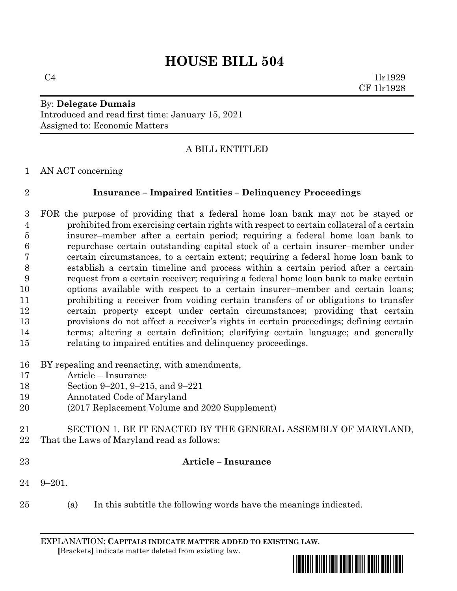# **HOUSE BILL 504**

 $C4$  1lr1929 CF 1lr1928

#### By: **Delegate Dumais** Introduced and read first time: January 15, 2021 Assigned to: Economic Matters

# A BILL ENTITLED

AN ACT concerning

#### **Insurance – Impaired Entities – Delinquency Proceedings**

- FOR the purpose of providing that a federal home loan bank may not be stayed or prohibited from exercising certain rights with respect to certain collateral of a certain insurer–member after a certain period; requiring a federal home loan bank to repurchase certain outstanding capital stock of a certain insurer–member under certain circumstances, to a certain extent; requiring a federal home loan bank to establish a certain timeline and process within a certain period after a certain request from a certain receiver; requiring a federal home loan bank to make certain options available with respect to a certain insurer–member and certain loans; prohibiting a receiver from voiding certain transfers of or obligations to transfer certain property except under certain circumstances; providing that certain provisions do not affect a receiver's rights in certain proceedings; defining certain terms; altering a certain definition; clarifying certain language; and generally relating to impaired entities and delinquency proceedings.
- BY repealing and reenacting, with amendments,
- Article Insurance
- Section 9–201, 9–215, and 9–221
- Annotated Code of Maryland
- (2017 Replacement Volume and 2020 Supplement)
- SECTION 1. BE IT ENACTED BY THE GENERAL ASSEMBLY OF MARYLAND, That the Laws of Maryland read as follows:
- 

#### **Article – Insurance**

- 9–201.
- (a) In this subtitle the following words have the meanings indicated.

EXPLANATION: **CAPITALS INDICATE MATTER ADDED TO EXISTING LAW**.  **[**Brackets**]** indicate matter deleted from existing law.

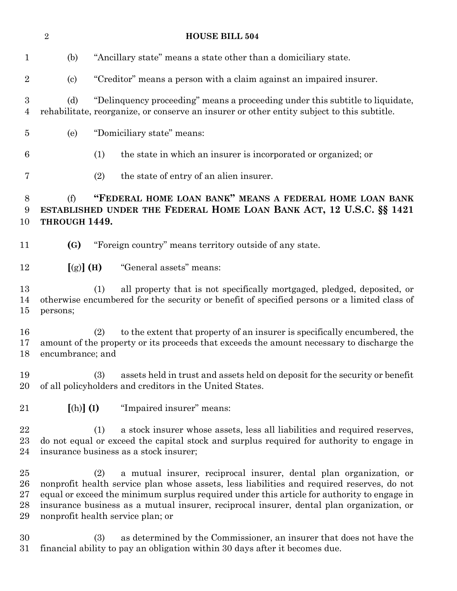|                                    | $\overline{2}$                                                                                                                                                                            |     | <b>HOUSE BILL 504</b>                                                                                                                                                                                                                                                                                                                                                                           |  |
|------------------------------------|-------------------------------------------------------------------------------------------------------------------------------------------------------------------------------------------|-----|-------------------------------------------------------------------------------------------------------------------------------------------------------------------------------------------------------------------------------------------------------------------------------------------------------------------------------------------------------------------------------------------------|--|
| 1                                  | (b)                                                                                                                                                                                       |     | "Ancillary state" means a state other than a domiciliary state.                                                                                                                                                                                                                                                                                                                                 |  |
| $\overline{2}$                     | $\left( \mathrm{c}\right)$                                                                                                                                                                |     | "Creditor" means a person with a claim against an impaired insurer.                                                                                                                                                                                                                                                                                                                             |  |
| 3<br>$\overline{4}$                | (d)                                                                                                                                                                                       |     | "Delinguency proceeding" means a proceeding under this subtitle to liquidate,<br>rehabilitate, reorganize, or conserve an insurer or other entity subject to this subtitle.                                                                                                                                                                                                                     |  |
| $\overline{5}$                     | (e)                                                                                                                                                                                       |     | "Domiciliary state" means:                                                                                                                                                                                                                                                                                                                                                                      |  |
| 6                                  |                                                                                                                                                                                           | (1) | the state in which an insurer is incorporated or organized; or                                                                                                                                                                                                                                                                                                                                  |  |
| 7                                  |                                                                                                                                                                                           | (2) | the state of entry of an alien insurer.                                                                                                                                                                                                                                                                                                                                                         |  |
| 8<br>9<br>10                       | "FEDERAL HOME LOAN BANK" MEANS A FEDERAL HOME LOAN BANK<br>(f)<br>ESTABLISHED UNDER THE FEDERAL HOME LOAN BANK ACT, 12 U.S.C. §§ 1421<br>THROUGH 1449.                                    |     |                                                                                                                                                                                                                                                                                                                                                                                                 |  |
| 11                                 | (G)                                                                                                                                                                                       |     | "Foreign country" means territory outside of any state.                                                                                                                                                                                                                                                                                                                                         |  |
| 12                                 | $[(g)]$ (H)                                                                                                                                                                               |     | "General assets" means:                                                                                                                                                                                                                                                                                                                                                                         |  |
| 13<br>14<br>15                     | all property that is not specifically mortgaged, pledged, deposited, or<br>(1)<br>otherwise encumbered for the security or benefit of specified persons or a limited class of<br>persons; |     |                                                                                                                                                                                                                                                                                                                                                                                                 |  |
| 16<br>17<br>18                     | encumbrance; and                                                                                                                                                                          | (2) | to the extent that property of an insurer is specifically encumbered, the<br>amount of the property or its proceeds that exceeds the amount necessary to discharge the                                                                                                                                                                                                                          |  |
| 19<br>20                           |                                                                                                                                                                                           | (3) | assets held in trust and assets held on deposit for the security or benefit<br>of all policyholders and creditors in the United States.                                                                                                                                                                                                                                                         |  |
| 21                                 | $[(h)]$ $(I)$                                                                                                                                                                             |     | "Impaired insurer" means:                                                                                                                                                                                                                                                                                                                                                                       |  |
| 22<br>$23\,$<br>24                 |                                                                                                                                                                                           | (1) | a stock insurer whose assets, less all liabilities and required reserves,<br>do not equal or exceed the capital stock and surplus required for authority to engage in<br>insurance business as a stock insurer;                                                                                                                                                                                 |  |
| $25\,$<br>26<br>$27\,$<br>28<br>29 |                                                                                                                                                                                           | (2) | a mutual insurer, reciprocal insurer, dental plan organization, or<br>nonprofit health service plan whose assets, less liabilities and required reserves, do not<br>equal or exceed the minimum surplus required under this article for authority to engage in<br>insurance business as a mutual insurer, reciprocal insurer, dental plan organization, or<br>nonprofit health service plan; or |  |
| $\Omega$                           |                                                                                                                                                                                           |     | $\mu$                                                                                                                                                                                                                                                                                                                                                                                           |  |

 (3) as determined by the Commissioner, an insurer that does not have the financial ability to pay an obligation within 30 days after it becomes due.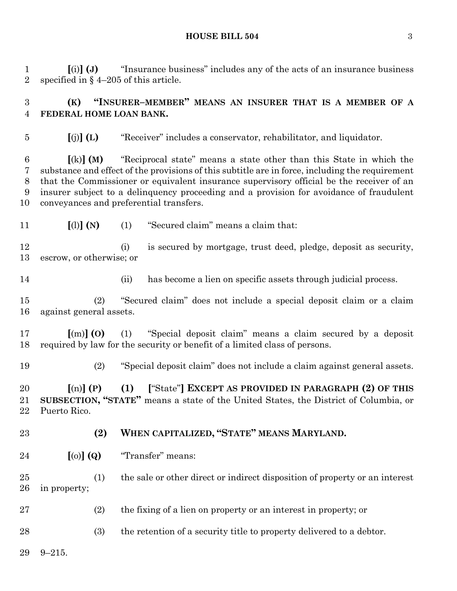#### **HOUSE BILL 504** 3

 **[**(i)**] (J)** "Insurance business" includes any of the acts of an insurance business specified in § 4–205 of this article.

# **(K) "INSURER–MEMBER" MEANS AN INSURER THAT IS A MEMBER OF A FEDERAL HOME LOAN BANK.**

**[**(j)**] (L)** "Receiver" includes a conservator, rehabilitator, and liquidator.

 **[**(k)**] (M)** "Reciprocal state" means a state other than this State in which the substance and effect of the provisions of this subtitle are in force, including the requirement that the Commissioner or equivalent insurance supervisory official be the receiver of an insurer subject to a delinquency proceeding and a provision for avoidance of fraudulent conveyances and preferential transfers.

**[**(l)**] (N)** (1) "Secured claim" means a claim that:

 (i) is secured by mortgage, trust deed, pledge, deposit as security, escrow, or otherwise; or

(ii) has become a lien on specific assets through judicial process.

 (2) "Secured claim" does not include a special deposit claim or a claim against general assets.

 **[**(m)**] (O)** (1) "Special deposit claim" means a claim secured by a deposit required by law for the security or benefit of a limited class of persons.

(2) "Special deposit claim" does not include a claim against general assets.

 **[**(n)**] (P) (1) [**"State"**] EXCEPT AS PROVIDED IN PARAGRAPH (2) OF THIS SUBSECTION, "STATE"** means a state of the United States, the District of Columbia, or Puerto Rico.

**(2) WHEN CAPITALIZED, "STATE" MEANS MARYLAND.**

**[**(o)**] (Q)** "Transfer" means:

 (1) the sale or other direct or indirect disposition of property or an interest in property;

(2) the fixing of a lien on property or an interest in property; or

28 (3) the retention of a security title to property delivered to a debtor.

9–215.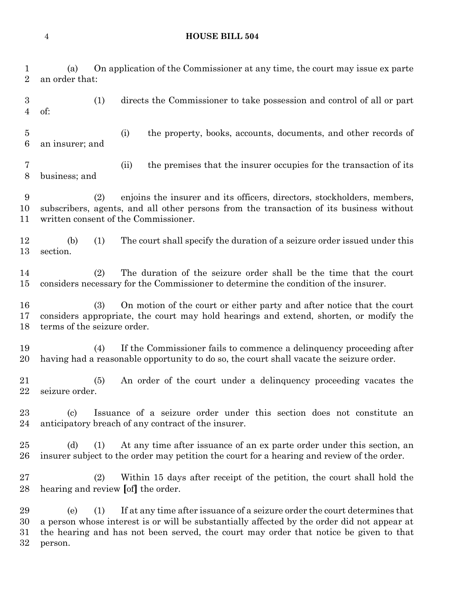# **HOUSE BILL 504**

| 1<br>$\overline{2}$                | On application of the Commissioner at any time, the court may issue ex parte<br>(a)<br>an order that:                                                                                                                                                                                       |  |  |  |
|------------------------------------|---------------------------------------------------------------------------------------------------------------------------------------------------------------------------------------------------------------------------------------------------------------------------------------------|--|--|--|
| $\boldsymbol{3}$<br>$\overline{4}$ | (1)<br>directs the Commissioner to take possession and control of all or part<br>of:                                                                                                                                                                                                        |  |  |  |
| $\overline{5}$<br>$\boldsymbol{6}$ | (i)<br>the property, books, accounts, documents, and other records of<br>an insurer; and                                                                                                                                                                                                    |  |  |  |
| 7<br>8                             | the premises that the insurer occupies for the transaction of its<br>(ii)<br>business; and                                                                                                                                                                                                  |  |  |  |
| 9<br>10<br>11                      | (2)<br>enjoins the insurer and its officers, directors, stockholders, members,<br>subscribers, agents, and all other persons from the transaction of its business without<br>written consent of the Commissioner.                                                                           |  |  |  |
| 12<br>13                           | The court shall specify the duration of a seizure order issued under this<br>(b)<br>(1)<br>section.                                                                                                                                                                                         |  |  |  |
| 14<br>15                           | The duration of the seizure order shall be the time that the court<br>(2)<br>considers necessary for the Commissioner to determine the condition of the insurer.                                                                                                                            |  |  |  |
| 16<br>17<br>18                     | (3)<br>On motion of the court or either party and after notice that the court<br>considers appropriate, the court may hold hearings and extend, shorten, or modify the<br>terms of the seizure order.                                                                                       |  |  |  |
| 19<br>20                           | If the Commissioner fails to commence a delinquency proceeding after<br>(4)<br>having had a reasonable opportunity to do so, the court shall vacate the seizure order.                                                                                                                      |  |  |  |
| 21<br>22                           | An order of the court under a delinguency proceeding vacates the<br>(5)<br>seizure order.                                                                                                                                                                                                   |  |  |  |
| 23<br>24                           | Issuance of a seizure order under this section does not constitute an<br>$\left( \mathrm{c} \right)$<br>anticipatory breach of any contract of the insurer.                                                                                                                                 |  |  |  |
| 25<br>26                           | At any time after issuance of an ex parte order under this section, an<br>(d)<br>(1)<br>insurer subject to the order may petition the court for a hearing and review of the order.                                                                                                          |  |  |  |
| 27<br>28                           | (2)<br>Within 15 days after receipt of the petition, the court shall hold the<br>hearing and review [of] the order.                                                                                                                                                                         |  |  |  |
| 29<br>30<br>31<br>32               | If at any time after issuance of a seizure order the court determines that<br>(e)<br>(1)<br>a person whose interest is or will be substantially affected by the order did not appear at<br>the hearing and has not been served, the court may order that notice be given to that<br>person. |  |  |  |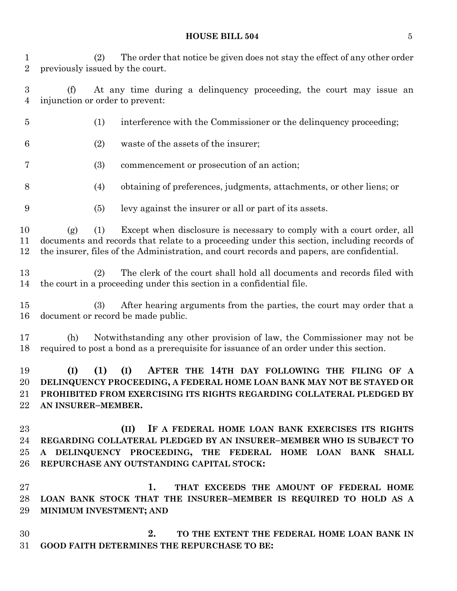#### **HOUSE BILL 504** 5

 (2) The order that notice be given does not stay the effect of any other order previously issued by the court.

 (f) At any time during a delinquency proceeding, the court may issue an injunction or order to prevent:

- (1) interference with the Commissioner or the delinquency proceeding; (2) waste of the assets of the insurer; (3) commencement or prosecution of an action; (4) obtaining of preferences, judgments, attachments, or other liens; or (5) levy against the insurer or all or part of its assets. (g) (1) Except when disclosure is necessary to comply with a court order, all documents and records that relate to a proceeding under this section, including records of the insurer, files of the Administration, and court records and papers, are confidential. (2) The clerk of the court shall hold all documents and records filed with the court in a proceeding under this section in a confidential file. (3) After hearing arguments from the parties, the court may order that a document or record be made public. (h) Notwithstanding any other provision of law, the Commissioner may not be required to post a bond as a prerequisite for issuance of an order under this section. **(I) (1) (I) AFTER THE 14TH DAY FOLLOWING THE FILING OF A DELINQUENCY PROCEEDING, A FEDERAL HOME LOAN BANK MAY NOT BE STAYED OR PROHIBITED FROM EXERCISING ITS RIGHTS REGARDING COLLATERAL PLEDGED BY AN INSURER–MEMBER. (II) IF A FEDERAL HOME LOAN BANK EXERCISES ITS RIGHTS REGARDING COLLATERAL PLEDGED BY AN INSURER–MEMBER WHO IS SUBJECT TO A DELINQUENCY PROCEEDING, THE FEDERAL HOME LOAN BANK SHALL**
- **REPURCHASE ANY OUTSTANDING CAPITAL STOCK:**
- **1. THAT EXCEEDS THE AMOUNT OF FEDERAL HOME LOAN BANK STOCK THAT THE INSURER–MEMBER IS REQUIRED TO HOLD AS A MINIMUM INVESTMENT; AND**
- **2. TO THE EXTENT THE FEDERAL HOME LOAN BANK IN GOOD FAITH DETERMINES THE REPURCHASE TO BE:**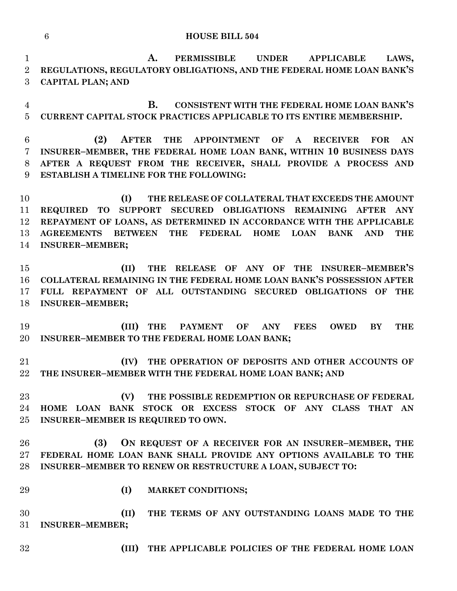#### **HOUSE BILL 504**

 **A. PERMISSIBLE UNDER APPLICABLE LAWS, REGULATIONS, REGULATORY OBLIGATIONS, AND THE FEDERAL HOME LOAN BANK'S CAPITAL PLAN; AND**

 **B. CONSISTENT WITH THE FEDERAL HOME LOAN BANK'S CURRENT CAPITAL STOCK PRACTICES APPLICABLE TO ITS ENTIRE MEMBERSHIP.**

 **(2) AFTER THE APPOINTMENT OF A RECEIVER FOR AN INSURER–MEMBER, THE FEDERAL HOME LOAN BANK, WITHIN 10 BUSINESS DAYS AFTER A REQUEST FROM THE RECEIVER, SHALL PROVIDE A PROCESS AND ESTABLISH A TIMELINE FOR THE FOLLOWING:**

 **(I) THE RELEASE OF COLLATERAL THAT EXCEEDS THE AMOUNT REQUIRED TO SUPPORT SECURED OBLIGATIONS REMAINING AFTER ANY REPAYMENT OF LOANS, AS DETERMINED IN ACCORDANCE WITH THE APPLICABLE AGREEMENTS BETWEEN THE FEDERAL HOME LOAN BANK AND THE INSURER–MEMBER;**

 **(II) THE RELEASE OF ANY OF THE INSURER–MEMBER'S COLLATERAL REMAINING IN THE FEDERAL HOME LOAN BANK'S POSSESSION AFTER FULL REPAYMENT OF ALL OUTSTANDING SECURED OBLIGATIONS OF THE INSURER–MEMBER;**

 **(III) THE PAYMENT OF ANY FEES OWED BY THE INSURER–MEMBER TO THE FEDERAL HOME LOAN BANK;**

 **(IV) THE OPERATION OF DEPOSITS AND OTHER ACCOUNTS OF THE INSURER–MEMBER WITH THE FEDERAL HOME LOAN BANK; AND**

 **(V) THE POSSIBLE REDEMPTION OR REPURCHASE OF FEDERAL HOME LOAN BANK STOCK OR EXCESS STOCK OF ANY CLASS THAT AN INSURER–MEMBER IS REQUIRED TO OWN.**

 **(3) ON REQUEST OF A RECEIVER FOR AN INSURER–MEMBER, THE FEDERAL HOME LOAN BANK SHALL PROVIDE ANY OPTIONS AVAILABLE TO THE INSURER–MEMBER TO RENEW OR RESTRUCTURE A LOAN, SUBJECT TO:**

- 
- **(I) MARKET CONDITIONS;**

 **(II) THE TERMS OF ANY OUTSTANDING LOANS MADE TO THE INSURER–MEMBER;**

- 
- **(III) THE APPLICABLE POLICIES OF THE FEDERAL HOME LOAN**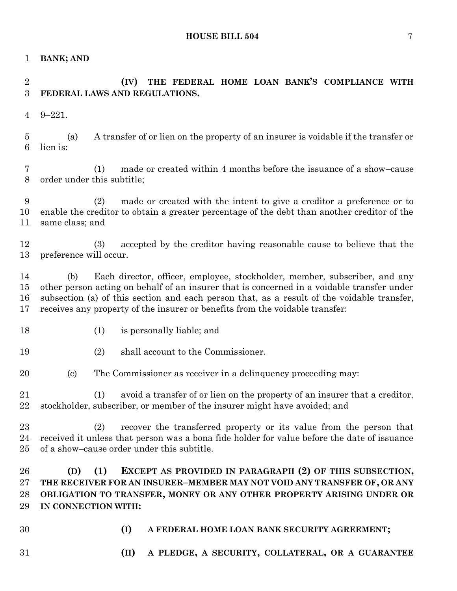**BANK; AND**

# **(IV) THE FEDERAL HOME LOAN BANK'S COMPLIANCE WITH FEDERAL LAWS AND REGULATIONS.**

9–221.

 (a) A transfer of or lien on the property of an insurer is voidable if the transfer or lien is:

 (1) made or created within 4 months before the issuance of a show–cause order under this subtitle;

 (2) made or created with the intent to give a creditor a preference or to enable the creditor to obtain a greater percentage of the debt than another creditor of the same class; and

 (3) accepted by the creditor having reasonable cause to believe that the preference will occur.

 (b) Each director, officer, employee, stockholder, member, subscriber, and any other person acting on behalf of an insurer that is concerned in a voidable transfer under subsection (a) of this section and each person that, as a result of the voidable transfer, receives any property of the insurer or benefits from the voidable transfer:

- 
- (1) is personally liable; and
- (2) shall account to the Commissioner.

(c) The Commissioner as receiver in a delinquency proceeding may:

 (1) avoid a transfer of or lien on the property of an insurer that a creditor, stockholder, subscriber, or member of the insurer might have avoided; and

 (2) recover the transferred property or its value from the person that received it unless that person was a bona fide holder for value before the date of issuance of a show–cause order under this subtitle.

# **(D) (1) EXCEPT AS PROVIDED IN PARAGRAPH (2) OF THIS SUBSECTION, THE RECEIVER FOR AN INSURER–MEMBER MAY NOT VOID ANY TRANSFER OF, OR ANY OBLIGATION TO TRANSFER, MONEY OR ANY OTHER PROPERTY ARISING UNDER OR IN CONNECTION WITH:**

- 
- **(I) A FEDERAL HOME LOAN BANK SECURITY AGREEMENT;**
- 
- **(II) A PLEDGE, A SECURITY, COLLATERAL, OR A GUARANTEE**